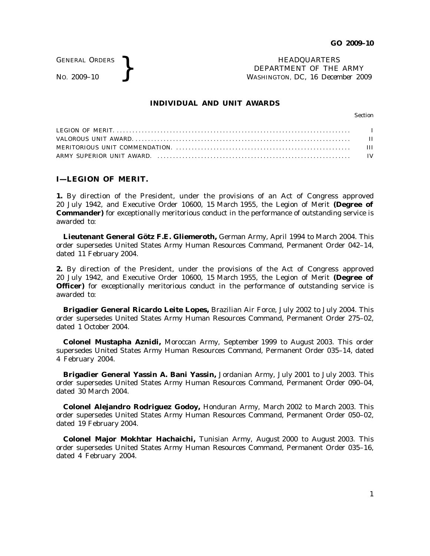GENERAL ORDERS

GENERAL ORDERS **REAL ORDERS** HEADQUARTERS **HEADQUARTERS HEADQUARTERS HEADQUARTERS DEPARTMENT** OF THE **WASHINGTON**, DC, 16 Decem DEPARTMENT OF THE ARMY WASHINGTON, DC, *16 December 2009*

## **INDIVIDUAL AND UNIT AWARDS**

Section

# **I—LEGION OF MERIT.**

**1.** By direction of the President, under the provisions of an Act of Congress approved 20 July 1942, and Executive Order 10600, 15 March 1955, the Legion of Merit **(Degree of Commander)** for exceptionally meritorious conduct in the performance of outstanding service is awarded to:

**Lieutenant General Götz F.E. Gliemeroth,** German Army, April 1994 to March 2004. This order supersedes United States Army Human Resources Command, Permanent Order 042–14, dated 11 February 2004.

**2.** By direction of the President, under the provisions of the Act of Congress approved 20 July 1942, and Executive Order 10600, 15 March 1955, the Legion of Merit **(Degree of Officer**) for exceptionally meritorious conduct in the performance of outstanding service is awarded to:

**Brigadier General Ricardo Leite Lopes,** Brazilian Air Force, July 2002 to July 2004. This order supersedes United States Army Human Resources Command, Permanent Order 275–02, dated 1 October 2004.

**Colonel Mustapha Aznidi,** Moroccan Army, September 1999 to August 2003. This order supersedes United States Army Human Resources Command, Permanent Order 035–14, dated 4 February 2004.

**Brigadier General Yassin A. Bani Yassin,** Jordanian Army, July 2001 to July 2003. This order supersedes United States Army Human Resources Command, Permanent Order 090–04, dated 30 March 2004.

**Colonel Alejandro Rodriguez Godoy,** Honduran Army, March 2002 to March 2003. This order supersedes United States Army Human Resources Command, Permanent Order 050–02, dated 19 February 2004.

**Colonel Major Mokhtar Hachaichi,** Tunisian Army, August 2000 to August 2003. This order supersedes United States Army Human Resources Command, Permanent Order 035–16, dated 4 February 2004.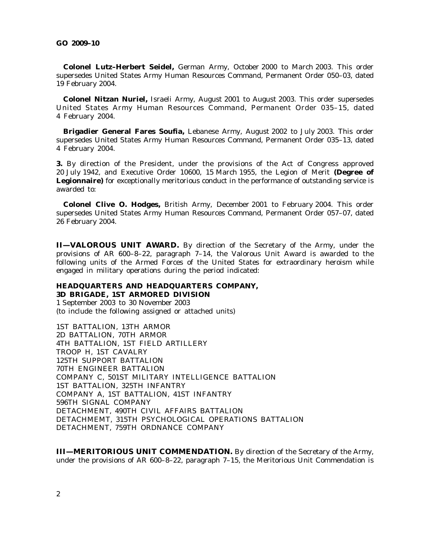**Colonel Lutz-Herbert Seidel,** German Army, October 2000 to March 2003. This order supersedes United States Army Human Resources Command, Permanent Order 050–03, dated 19 February 2004.

**Colonel Nitzan Nuriel,** Israeli Army, August 2001 to August 2003. This order supersedes United States Army Human Resources Command, Permanent Order 035-15, dated 4 February 2004.

**Brigadier General Fares Soufia,** Lebanese Army, August 2002 to July 2003. This order supersedes United States Army Human Resources Command, Permanent Order 035–13, dated 4 February 2004.

**3.** By direction of the President, under the provisions of the Act of Congress approved 20 July 1942, and Executive Order 10600, 15 March 1955, the Legion of Merit **(Degree of Legionnaire)** for exceptionally meritorious conduct in the performance of outstanding service is awarded to:

**Colonel Clive O. Hodges,** British Army, December 2001 to February 2004. This order supersedes United States Army Human Resources Command, Permanent Order 057–07, dated 26 February 2004.

**II—VALOROUS UNIT AWARD.** By direction of the Secretary of the Army, under the provisions of AR  $600-8-22$ , paragraph  $7-14$ , the Valorous Unit Award is awarded to the following units of the Armed Forces of the United States for extraordinary heroism while engaged in military operations during the period indicated:

# **HEADQUARTERS AND HEADQUARTERS COMPANY, 3D BRIGADE, 1ST ARMORED DIVISION**

1 September 2003 to 30 November 2003 (to include the following assigned or attached units)

1ST BATTALION, 13TH ARMOR 2D BATTALION, 70TH ARMOR 4TH BATTALION, 1ST FIELD ARTILLERY TROOP H, 1ST CAVALRY 125TH SUPPORT BATTALION 70TH ENGINEER BATTALION COMPANY C, 501ST MILITARY INTELLIGENCE BATTALION 1ST BATTALION, 325TH INFANTRY COMPANY A, 1ST BATTALION, 41ST INFANTRY 596TH SIGNAL COMPANY DETACHMENT, 490TH CIVIL AFFAIRS BATTALION DETACHMEMT, 315TH PSYCHOLOGICAL OPERATIONS BATTALION DETACHMENT, 759TH ORDNANCE COMPANY

**III—MERITORIOUS UNIT COMMENDATION.** By direction of the Secretary of the Army, under the provisions of AR 600–8–22, paragraph 7–15, the Meritorious Unit Commendation is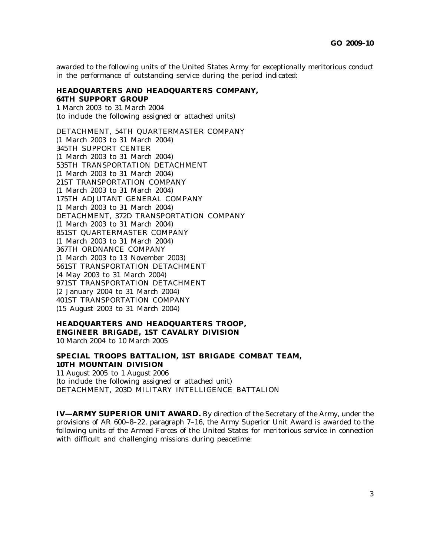awarded to the following units of the United States Army for exceptionally meritorious conduct in the performance of outstanding service during the period indicated:

#### **HEADQUARTERS AND HEADQUARTERS COMPANY, 64TH SUPPORT GROUP**

1 March 2003 to 31 March 2004 (to include the following assigned or attached units)

DETACHMENT, 54TH QUARTERMASTER COMPANY (1 March 2003 to 31 March 2004) 345TH SUPPORT CENTER (1 March 2003 to 31 March 2004) 535TH TRANSPORTATION DETACHMENT (1 March 2003 to 31 March 2004) 21ST TRANSPORTATION COMPANY (1 March 2003 to 31 March 2004) 175TH ADJUTANT GENERAL COMPANY (1 March 2003 to 31 March 2004) DETACHMENT, 372D TRANSPORTATION COMPANY (1 March 2003 to 31 March 2004) 851ST QUARTERMASTER COMPANY (1 March 2003 to 31 March 2004) 367TH ORDNANCE COMPANY (1 March 2003 to 13 November 2003) 561ST TRANSPORTATION DETACHMENT (4 May 2003 to 31 March 2004) 971ST TRANSPORTATION DETACHMENT (2 January 2004 to 31 March 2004) 401ST TRANSPORTATION COMPANY (15 August 2003 to 31 March 2004)

## **HEADQUARTERS AND HEADQUARTERS TROOP, ENGINEER BRIGADE, 1ST CAVALRY DIVISION** 10 March 2004 to 10 March 2005

## **SPECIAL TROOPS BATTALION, 1ST BRIGADE COMBAT TEAM, 10TH MOUNTAIN DIVISION**

11 August 2005 to 1 August 2006 (to include the following assigned or attached unit) DETACHMENT, 203D MILITARY INTELLIGENCE BATTALION

**IV—ARMY SUPERIOR UNIT AWARD.** By direction of the Secretary of the Army, under the provisions of AR 600–8–22, paragraph 7–16, the Army Superior Unit Award is awarded to the following units of the Armed Forces of the United States for meritorious service in connection with difficult and challenging missions during peacetime: